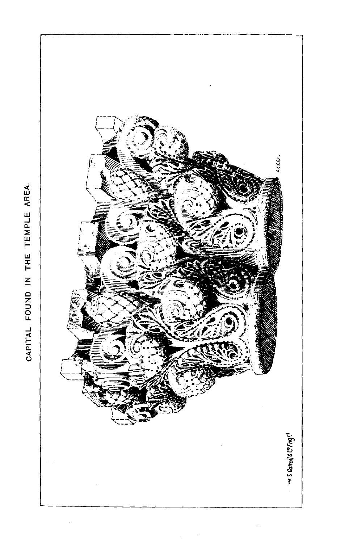